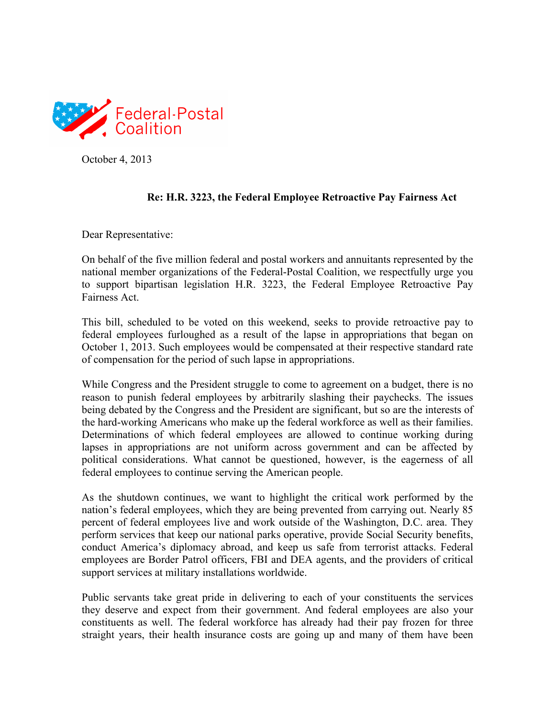

October 4, 2013

## **Re: H.R. 3223, the Federal Employee Retroactive Pay Fairness Act**

Dear Representative:

On behalf of the five million federal and postal workers and annuitants represented by the national member organizations of the Federal-Postal Coalition, we respectfully urge you to support bipartisan legislation H.R. 3223, the Federal Employee Retroactive Pay Fairness Act.

This bill, scheduled to be voted on this weekend, seeks to provide retroactive pay to federal employees furloughed as a result of the lapse in appropriations that began on October 1, 2013. Such employees would be compensated at their respective standard rate of compensation for the period of such lapse in appropriations.

While Congress and the President struggle to come to agreement on a budget, there is no reason to punish federal employees by arbitrarily slashing their paychecks. The issues being debated by the Congress and the President are significant, but so are the interests of the hard-working Americans who make up the federal workforce as well as their families. Determinations of which federal employees are allowed to continue working during lapses in appropriations are not uniform across government and can be affected by political considerations. What cannot be questioned, however, is the eagerness of all federal employees to continue serving the American people.

As the shutdown continues, we want to highlight the critical work performed by the nation's federal employees, which they are being prevented from carrying out. Nearly 85 percent of federal employees live and work outside of the Washington, D.C. area. They perform services that keep our national parks operative, provide Social Security benefits, conduct America's diplomacy abroad, and keep us safe from terrorist attacks. Federal employees are Border Patrol officers, FBI and DEA agents, and the providers of critical support services at military installations worldwide.

Public servants take great pride in delivering to each of your constituents the services they deserve and expect from their government. And federal employees are also your constituents as well. The federal workforce has already had their pay frozen for three straight years, their health insurance costs are going up and many of them have been